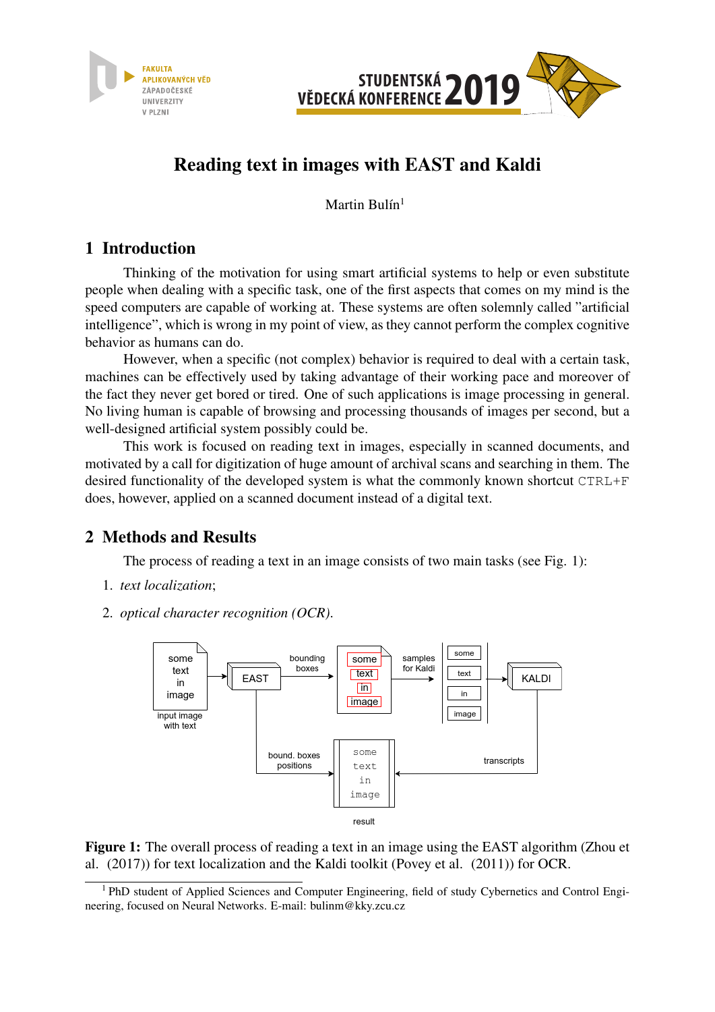



# Reading text in images with EAST and Kaldi

Martin Bulín $1$ 

### 1 Introduction

Thinking of the motivation for using smart artificial systems to help or even substitute people when dealing with a specific task, one of the first aspects that comes on my mind is the speed computers are capable of working at. These systems are often solemnly called "artificial intelligence", which is wrong in my point of view, as they cannot perform the complex cognitive behavior as humans can do.

However, when a specific (not complex) behavior is required to deal with a certain task, machines can be effectively used by taking advantage of their working pace and moreover of the fact they never get bored or tired. One of such applications is image processing in general. No living human is capable of browsing and processing thousands of images per second, but a well-designed artificial system possibly could be.

This work is focused on reading text in images, especially in scanned documents, and motivated by a call for digitization of huge amount of archival scans and searching in them. The desired functionality of the developed system is what the commonly known shortcut CTRL+F does, however, applied on a scanned document instead of a digital text.

## 2 Methods and Results

The process of reading a text in an image consists of two main tasks (see Fig. 1):

- 1. *text localization*;
- 2. *optical character recognition (OCR)*.



Figure 1: The overall process of reading a text in an image using the EAST algorithm (Zhou et al. (2017)) for text localization and the Kaldi toolkit (Povey et al. (2011)) for OCR.

<sup>&</sup>lt;sup>1</sup> PhD student of Applied Sciences and Computer Engineering, field of study Cybernetics and Control Engineering, focused on Neural Networks. E-mail: bulinm@kky.zcu.cz